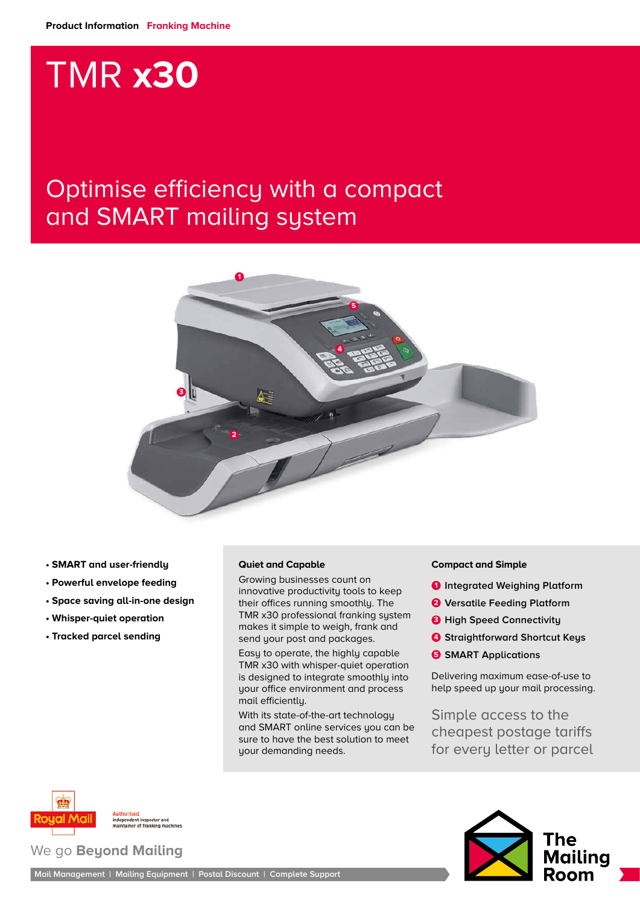# TMR **x30**

### Optimise efficiency with a compact and SMART mailing system



- **SMART and user-friendly**
- **Powerful envelope feeding**
- **Space saving all-in-one design**
- **Whisper-quiet operation**
- **Tracked parcel sending**

#### **Quiet and Capable**

Growing businesses count on innovative productivity tools to keep their offices running smoothly. The TMR x30 professional franking system makes it simple to weigh, frank and send your post and packages.

Easy to operate, the highly capable TMR x30 with whisper-quiet operation is designed to integrate smoothly into your office environment and process mail efficiently.

With its state-of-the-art technology and SMART online services you can be sure to have the best solution to meet your demanding needs.

#### **Compact and Simple**

- **1 Integrated Weighing Platform**
- **2 Versatile Feeding Platform**
- **3** High Speed Connectivity
- **4 Straightforward Shortcut Keys**
- **5 SMART Applications**

Delivering maximum ease-of-use to help speed up your mail processing.

Simple access to the cheapest postage tariffs for every letter or parcel



Authorised<br>independent inspector and<br>maintainer of franking machines

#### We go **Beyond Mailing**

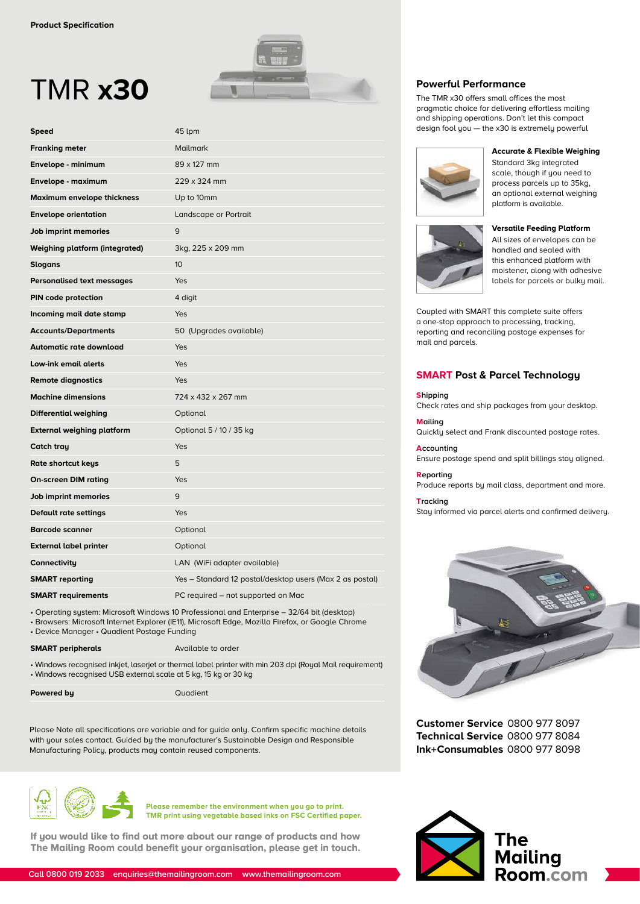## TMR **x30**

| Speed                                 | 45 lpm                                                   |
|---------------------------------------|----------------------------------------------------------|
| <b>Franking meter</b>                 | <b>Mailmark</b>                                          |
| Envelope - minimum                    | 89 x 127 mm                                              |
| Envelope - maximum                    | 229 x 324 mm                                             |
| Maximum envelope thickness            | Up to 10mm                                               |
| <b>Envelope orientation</b>           | Landscape or Portrait                                    |
| Job imprint memories                  | 9                                                        |
| <b>Weighing platform (integrated)</b> | 3kg, 225 x 209 mm                                        |
| Slogans                               | 10 <sup>10</sup>                                         |
| <b>Personalised text messages</b>     | Yes                                                      |
| PIN code protection                   | 4 digit                                                  |
| Incoming mail date stamp              | Yes                                                      |
| <b>Accounts/Departments</b>           | 50 (Upgrades available)                                  |
| Automatic rate download               | Yes                                                      |
| Low-ink email alerts                  | Yes                                                      |
| <b>Remote diagnostics</b>             | <b>Yes</b>                                               |
| <b>Machine dimensions</b>             | 724 x 432 x 267 mm                                       |
| Differential weighing                 | Optional                                                 |
| <b>External weighing platform</b>     | Optional 5 / 10 / 35 kg                                  |
| Catch tray                            | Yes                                                      |
| Rate shortcut keys                    | 5                                                        |
| <b>On-screen DIM rating</b>           | Yes                                                      |
| Job imprint memories                  | 9                                                        |
| Default rate settings                 | Yes                                                      |
| <b>Barcode scanner</b>                | Optional                                                 |
| <b>External label printer</b>         | Optional                                                 |
| Connectivity                          | LAN (WiFi adapter available)                             |
| <b>SMART</b> reporting                | Yes - Standard 12 postal/desktop users (Max 2 as postal) |
| <b>SMART requirements</b>             | PC required - not supported on Mac                       |

• Operating system: Microsoft Windows 10 Professional and Enterprise – 32/64 bit (desktop)

• Browsers: Microsoft Internet Explorer (IE11), Microsoft Edge, Mozilla Firefox, or Google Chrome • Device Manager • Quadient Postage Funding

**SMART peripherals** Available to order

• Windows recognised inkjet, laserjet or thermal label printer with min 203 dpi (Royal Mail requirement) • Windows recognised USB external scale at 5 kg, 15 kg or 30 kg

**Powered by** Quadient

Please Note all specifications are variable and for guide only. Confirm specific machine details with your sales contact. Guided by the manufacturer's Sustainable Design and Responsible Manufacturing Policy, products may contain reused components.



**Please remember the environment when you go to print. TMR print using vegetable based inks on FSC Certified paper.**

**If you would like to find out more about our range of products and how The Mailing Room could benefit your organisation, please get in touch.**



#### **Powerful Performance**

The TMR x30 offers small offices the most pragmatic choice for delivering effortless mailing and shipping operations. Don't let this compact design fool you — the x30 is extremely powerful



**Accurate & Flexible Weighing** Standard 3kg integrated scale, though if you need to process parcels up to 35kg, an optional external weighing platform is available.



#### **Versatile Feeding Platform**

All sizes of envelopes can be handled and sealed with this enhanced platform with moistener, along with adhesive labels for parcels or bulky mail.

Coupled with SMART this complete suite offers a one-stop approach to processing, tracking, reporting and reconciling postage expenses for mail and parcels.

#### **SMART Post & Parcel Technology**

#### **Shipping**

Check rates and ship packages from your desktop.

**Mailing** 

Quickly select and Frank discounted postage rates.

**Accounting** Ensure postage spend and split billings stay aligned.

#### **Reporting**

Produce reports by mail class, department and more.

#### **Tracking**

Stay informed via parcel alerts and confirmed delivery.



**Customer Service** 0800 977 8097 **Technical Service** 0800 977 8084 **Ink+Consumables** 0800 977 8098